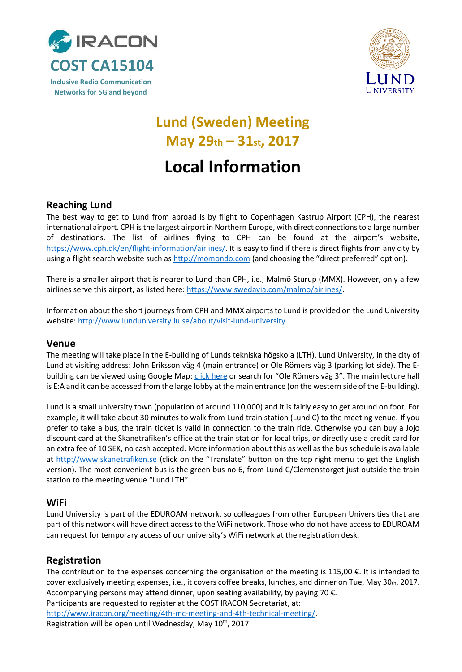



## **Lund (Sweden) Meeting May 29th – 31st, 2017**

# **Local Information**

## **Reaching Lund**

The best way to get to Lund from abroad is by flight to Copenhagen Kastrup Airport (CPH), the nearest international airport. CPH is the largest airport in Northern Europe, with direct connections to a large number of destinations. The list of airlines flying to CPH can be found at the airport's website, [https://www.cph.dk/en/flight-information/airlines/.](https://www.cph.dk/en/flight-information/airlines/) It is easy to find if there is direct flights from any city by using a flight search website such a[s http://momondo.com](http://momondo.com/) (and choosing the "direct preferred" option).

There is a smaller airport that is nearer to Lund than CPH, i.e., Malmö Sturup (MMX). However, only a few airlines serve this airport, as listed here[: https://www.swedavia.com/malmo/airlines/.](https://www.swedavia.com/malmo/airlines/)

Information about the short journeys from CPH and MMX airports to Lund is provided on the Lund University website[: http://www.lunduniversity.lu.se/about/visit-lund-university.](http://www.lunduniversity.lu.se/about/visit-lund-university)

#### **Venue**

The meeting will take place in the E-building of Lunds tekniska högskola (LTH), Lund University, in the city of Lund at visiting address: John Eriksson väg 4 (main entrance) or Ole Römers väg 3 (parking lot side). The Ebuilding can be viewed using Google Map[: click here](https://www.google.se/maps/place/Ole+R%C3%B6mers+v%C3%A4g+3,+223+63+Lund/@55.7110867,13.2082163,17z/data=!3m1!4b1!4m5!3m4!1s0x465397ca158a6165:0x7f9339d3824e88ee!8m2!3d55.7110837!4d13.210405) or search for "Ole Römers väg 3". The main lecture hall is E:A and it can be accessed from the large lobby at the main entrance (on the western side of the E-building).

Lund is a small university town (population of around 110,000) and it is fairly easy to get around on foot. For example, it will take about 30 minutes to walk from Lund train station (Lund C) to the meeting venue. If you prefer to take a bus, the train ticket is valid in connection to the train ride. Otherwise you can buy a Jojo discount card at the Skanetrafiken's office at the train station for local trips, or directly use a credit card for an extra fee of 10 SEK, no cash accepted. More information about this as well as the bus schedule is available at [http://www.skanetrafiken.se](http://www.skanetrafiken.se/) (click on the "Translate" button on the top right menu to get the English version). The most convenient bus is the green bus no 6, from Lund C/Clemenstorget just outside the train station to the meeting venue "Lund LTH".

#### **WiFi**

Lund University is part of the EDUROAM network, so colleagues from other European Universities that are part of this network will have direct access to the WiFi network. Those who do not have access to EDUROAM can request for temporary access of our university's WiFi network at the registration desk.

#### **Registration**

The contribution to the expenses concerning the organisation of the meeting is 115,00 €. It is intended to cover exclusively meeting expenses, i.e., it covers coffee breaks, lunches, and dinner on Tue, May 30th, 2017. Accompanying persons may attend dinner, upon seating availability, by paying 70  $\epsilon$ .

Participants are requested to register at the COST IRACON Secretariat, at:

[http://www.iracon.org/meeting/4th-mc-meeting-and-4th-technical-meeting/.](http://www.iracon.org/meeting/4th-mc-meeting-and-4th-technical-meeting/)

Registration will be open until Wednesday, May 10<sup>th</sup>, 2017.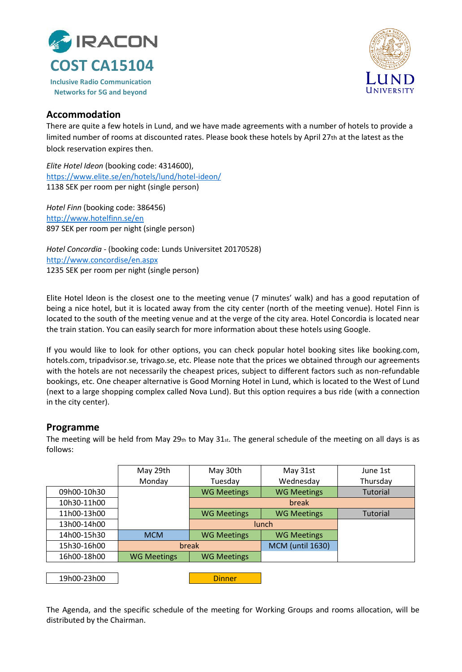



#### **Accommodation**

There are quite a few hotels in Lund, and we have made agreements with a number of hotels to provide a limited number of rooms at discounted rates. Please book these hotels by April 27th at the latest as the block reservation expires then.

*Elite Hotel Ideon* (booking code: 4314600), <https://www.elite.se/en/hotels/lund/hotel-ideon/> 1138 SEK per room per night (single person)

*Hotel Finn* (booking code: 386456) <http://www.hotelfinn.se/en> 897 SEK per room per night (single person)

*Hotel Concordia* - (booking code: Lunds Universitet 20170528) <http://www.concordise/en.aspx> 1235 SEK per room per night (single person)

Elite Hotel Ideon is the closest one to the meeting venue (7 minutes' walk) and has a good reputation of being a nice hotel, but it is located away from the city center (north of the meeting venue). Hotel Finn is located to the south of the meeting venue and at the verge of the city area. Hotel Concordia is located near the train station. You can easily search for more information about these hotels using Google.

If you would like to look for other options, you can check popular hotel booking sites like booking.com, hotels.com, tripadvisor.se, trivago.se, etc. Please note that the prices we obtained through our agreements with the hotels are not necessarily the cheapest prices, subject to different factors such as non-refundable bookings, etc. One cheaper alternative is Good Morning Hotel in Lund, which is located to the West of Lund (next to a large shopping complex called Nova Lund). But this option requires a bus ride (with a connection in the city center).

#### **Programme**

The meeting will be held from May 29th to May  $31_{st}$ . The general schedule of the meeting on all days is as follows:

|             | May 29th           | May 30th           | May 31st                | June 1st        |
|-------------|--------------------|--------------------|-------------------------|-----------------|
|             | Monday             | Tuesday            | Wednesday               | Thursday        |
| 09h00-10h30 |                    | <b>WG Meetings</b> | <b>WG Meetings</b>      | <b>Tutorial</b> |
| 10h30-11h00 |                    |                    | break                   |                 |
| 11h00-13h00 |                    | <b>WG Meetings</b> | <b>WG Meetings</b>      | Tutorial        |
| 13h00-14h00 |                    | lunch              |                         |                 |
| 14h00-15h30 | <b>MCM</b>         | <b>WG Meetings</b> | <b>WG Meetings</b>      |                 |
| 15h30-16h00 | break              |                    | <b>MCM (until 1630)</b> |                 |
| 16h00-18h00 | <b>WG Meetings</b> | <b>WG Meetings</b> |                         |                 |
|             |                    |                    |                         |                 |
| 19h00-23h00 |                    | <b>Dinner</b>      |                         |                 |

The Agenda, and the specific schedule of the meeting for Working Groups and rooms allocation, will be distributed by the Chairman.